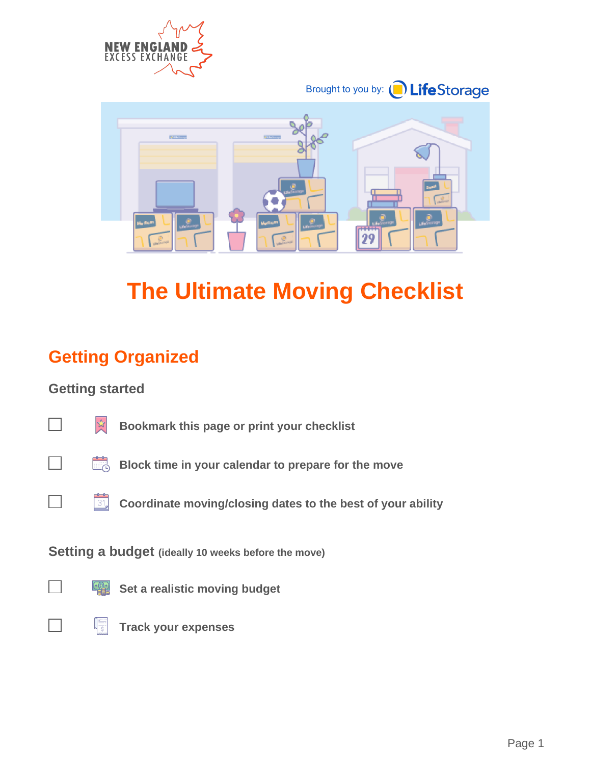



# **The Ultimate Moving Checklist**

## **Getting Organized**

#### **Getting started**



 **Bookmark this page or print your checklist**



**Block time in your calendar to prepare for the move** 



**Setting a budget (ideally 10 weeks before the move)**



**Set a realistic moving budget** 



IF  **Track your expenses**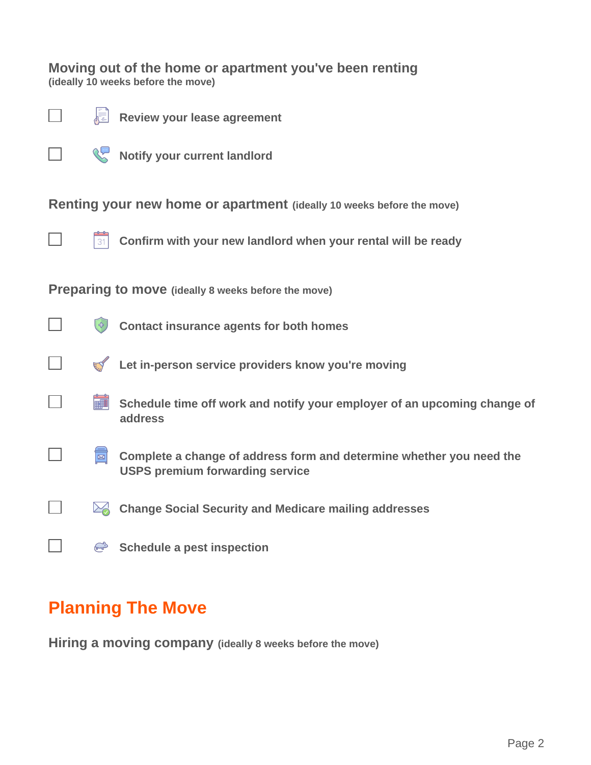**Moving out of the home or apartment you've been renting (ideally 10 weeks before the move)**



 **Review your lease agreement** 信

*Notify your current landlord* 

**Renting your new home or apartment (ideally 10 weeks before the move)**



┓

┐

 $\mathcal{L}$ 

 $\overline{\phantom{0}}$ 

 $\mathbb{R}$ 

 $\mathbb{R}^2$ 

31

 **Confirm with your new landlord when your rental will be ready**

**Preparing to move (ideally 8 weeks before the move)**

|  | Contact insurance agents for both homes |  |  |
|--|-----------------------------------------|--|--|
|  |                                         |  |  |
|  |                                         |  |  |
|  |                                         |  |  |

| EV | Let in-person service providers know you're moving |  |  |
|----|----------------------------------------------------|--|--|

- **Schedule time off work and notify your employer of an upcoming change of address**
- $\overline{\Xi}$  **Complete a change of address form and determine whether you need the USPS premium forwarding service**
- **24 Change Social Security and Medicare mailing addresses** 
	- **Schedule a pest inspection**

### **Planning The Move**

**Hiring a moving company (ideally 8 weeks before the move)**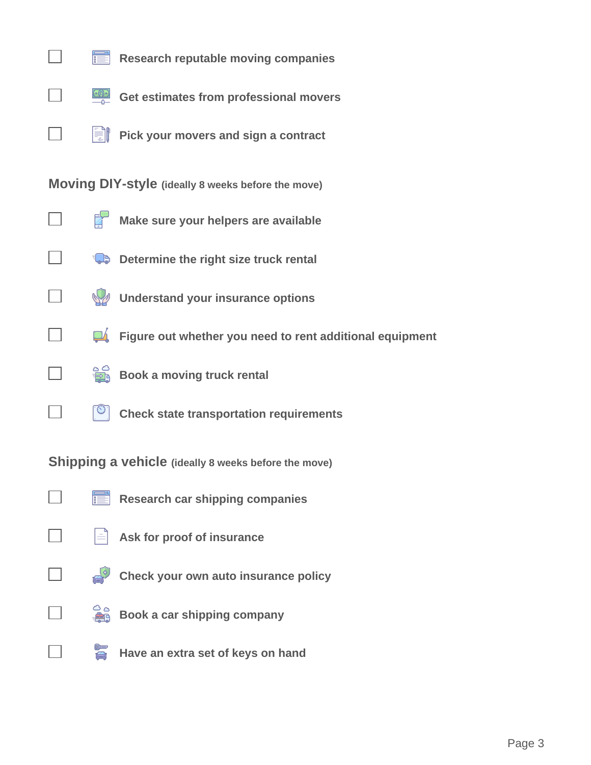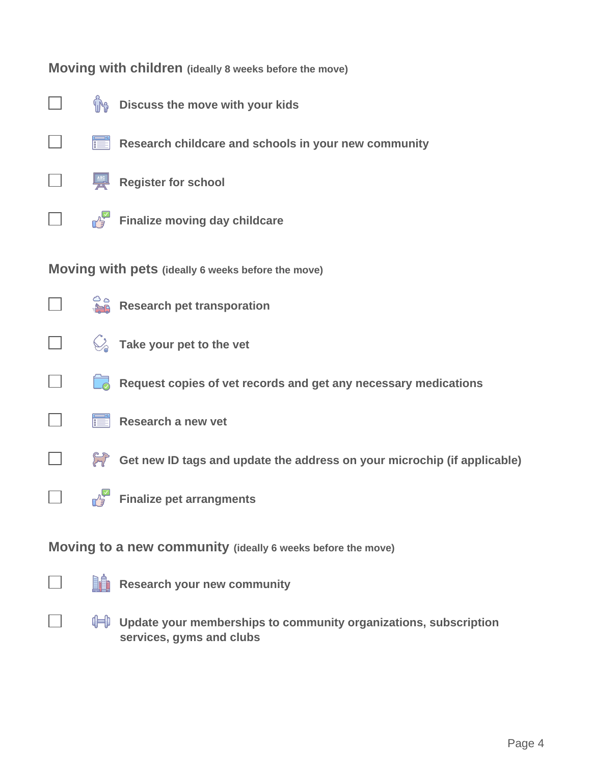#### **Moving with children (ideally 8 weeks before the move)**

 $\overline{\phantom{a}}$ 

 $\mathbb{R}^n$ 

 $\Box$ 

- *I***M** Discuss the move with your kids
- **Research childcare and schools in your new community**
- $\Box$ 
	- **Register for school**
	- **Finalize moving day childcare**

**Moving with pets (ideally 6 weeks before the move)**

- $\Box$
- **Research pet transporation**
- $\Box$

 $\blacksquare$ 

٦

- **Take your pet to the vet**
- **Request copies of vet records and get any necessary medications**
- **Research a new vet** 
	- **Get new ID tags and update the address on your microchip (if applicable)**
- $\mathbb{R}^n$
- **Finalize pet arrangments**

**Moving to a new community (ideally 6 weeks before the move)**



 $\blacksquare$ 

**Research your new community** 

*I* **Update your memberships to community organizations, subscription services, gyms and clubs**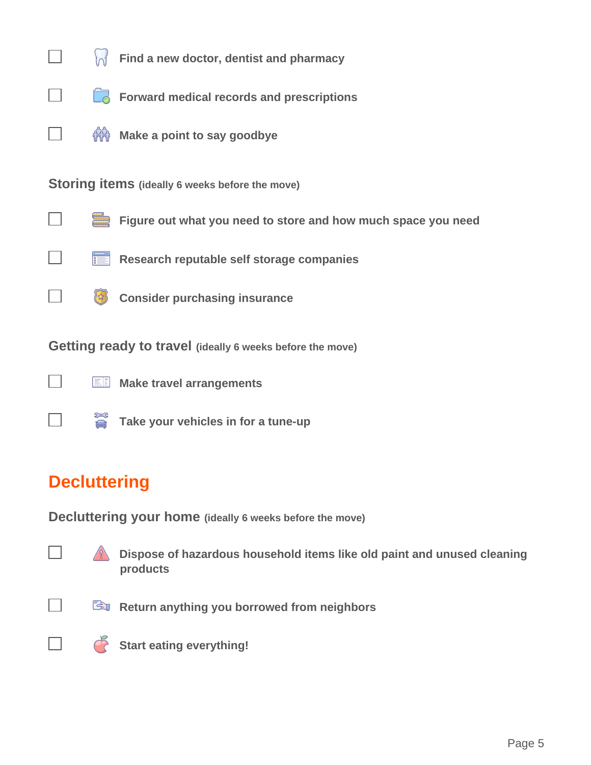

## **Decluttering**

**Decluttering your home (ideally 6 weeks before the move)**

 **Dispose of hazardous household items like old paint and unused cleaning products**



 **Return anything you borrowed from neighbors**



**Start eating everything!**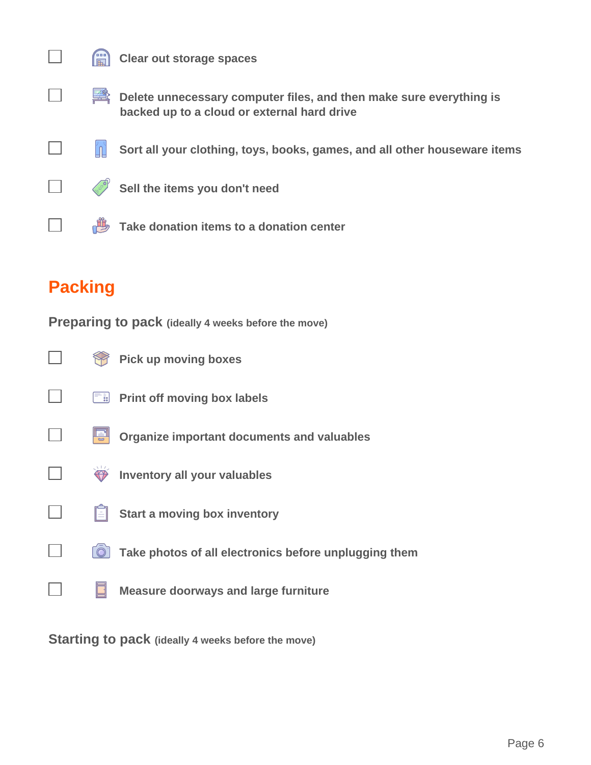

 $\mathcal{L}_{\mathcal{A}}$ 

 $\Box$ 

 $\overline{\phantom{0}}$ 

#### **Clear out storage spaces**

- **Delete unnecessary computer files, and then make sure everything is backed up to a cloud or external hard drive**
- 'n  **Sort all your clothing, toys, books, games, and all other houseware items**
- ٦

**Sell the items you don't need** 

**Take donation items to a donation center** 

## **Packing**

**Preparing to pack (ideally 4 weeks before the move)**

|                    | <b>Pick up moving boxes</b>                           |
|--------------------|-------------------------------------------------------|
| $=$ $\frac{1}{88}$ | <b>Print off moving box labels</b>                    |
|                    | <b>Organize important documents and valuables</b>     |
|                    | <b>Inventory all your valuables</b>                   |
|                    | <b>Start a moving box inventory</b>                   |
|                    | Take photos of all electronics before unplugging them |
|                    | <b>Measure doorways and large furniture</b>           |
|                    |                                                       |

**Starting to pack (ideally 4 weeks before the move)**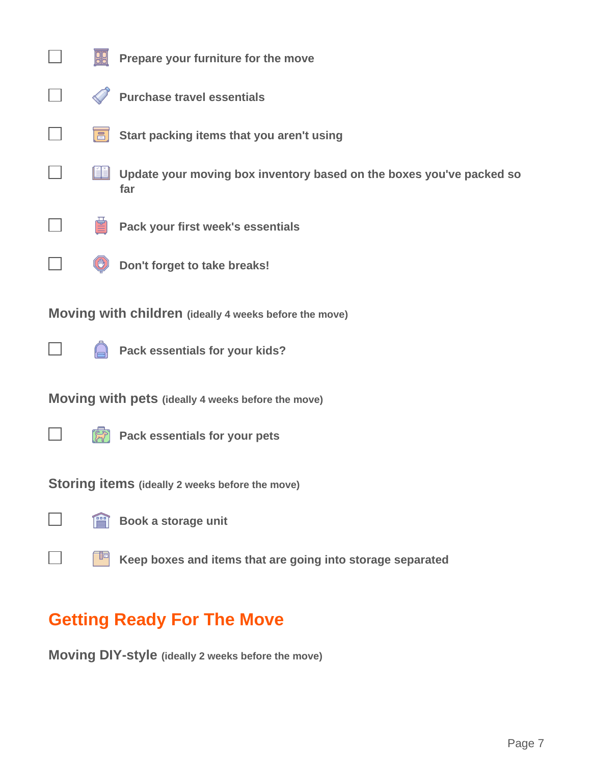|                                                        |                                                        | Prepare your furniture for the move                                         |  |  |  |
|--------------------------------------------------------|--------------------------------------------------------|-----------------------------------------------------------------------------|--|--|--|
|                                                        |                                                        | <b>Purchase travel essentials</b>                                           |  |  |  |
|                                                        | $\Xi$                                                  | Start packing items that you aren't using                                   |  |  |  |
|                                                        |                                                        | Update your moving box inventory based on the boxes you've packed so<br>far |  |  |  |
|                                                        |                                                        | Pack your first week's essentials                                           |  |  |  |
|                                                        |                                                        | Don't forget to take breaks!                                                |  |  |  |
|                                                        | Moving with children (ideally 4 weeks before the move) |                                                                             |  |  |  |
|                                                        |                                                        | Pack essentials for your kids?                                              |  |  |  |
| Moving with pets (ideally 4 weeks before the move)     |                                                        |                                                                             |  |  |  |
|                                                        |                                                        | Pack essentials for your pets                                               |  |  |  |
| <b>Storing items</b> (ideally 2 weeks before the move) |                                                        |                                                                             |  |  |  |
|                                                        | f                                                      | Book a storage unit                                                         |  |  |  |
|                                                        |                                                        | Keep boxes and items that are going into storage separated                  |  |  |  |

## **Getting Ready For The Move**

**Moving DIY-style (ideally 2 weeks before the move)**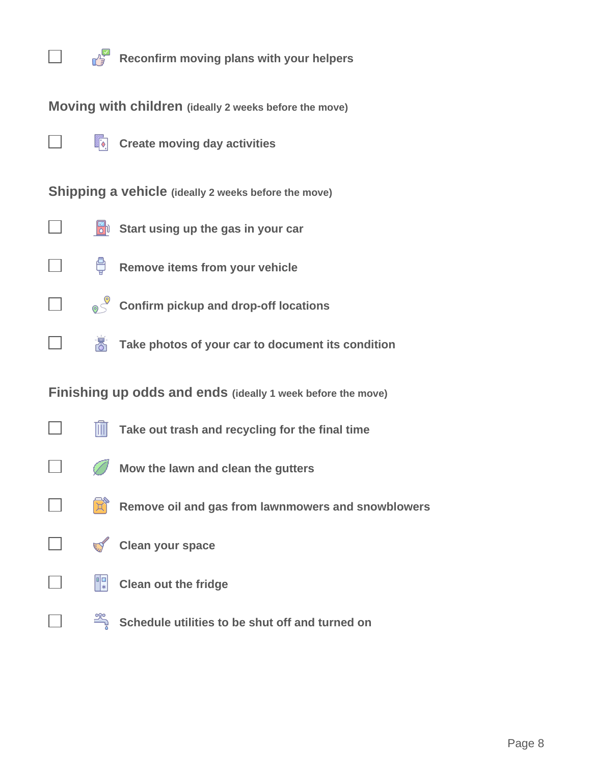

**Moving with children (ideally 2 weeks before the move)**

 $\Box$ 

 $\sim$ 

 $\overline{\phantom{a}}$ 

 $\Box$ 

 $\Box$ 

 $\Box$ 

 $\Box$ 

 $\Box$ 

 $\blacksquare$ 

**Create moving day activities** 

**Shipping a vehicle (ideally 2 weeks before the move)**

- **S**<sup>I</sup><sup>S</sup> Start using up the gas in your car
	- ₩  **Remove items from your vehicle**
	- **8** Confirm pickup and drop-off locations
	- **Take photos of your car to document its condition**

**Finishing up odds and ends (ideally 1 week before the move)**

- $\mathbb{I}$  **Take out trash and recycling for the final time**
	- Ø  **Mow the lawn and clean the gutters**
	- 贷  **Remove oil and gas from lawnmowers and snowblowers**



**Clean your space** 



 **Clean out the fridge**

**Schedule utilities to be shut off and turned on**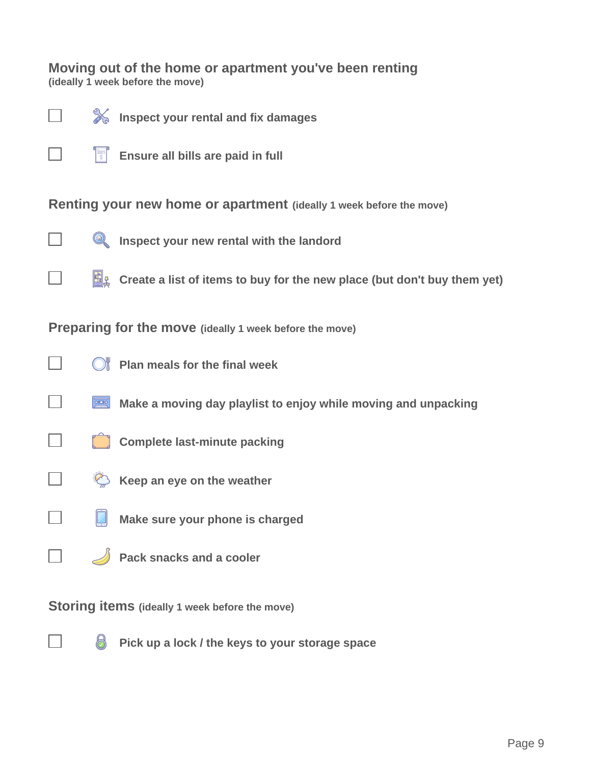#### **Moving out of the home or apartment you've been renting (ideally 1 week before the move)**



 **Inspect your rental and fix damages**



**Ensure all bills are paid in full** 

**Renting your new home or apartment (ideally 1 week before the move)**



**EX** Inspect your new rental with the landord

**E** Create a list of items to buy for the new place (but don't buy them yet)

**Preparing for the move (ideally 1 week before the move)**



 $\blacksquare$ 

٦

 $\mathbb{R}^2$ 

**C** Plan meals for the final week

**Make a moving day playlist to enjoy while moving and unpacking** 



- **E** Keep an eye on the weather
- **Make sure your phone is charged**
- $\blacksquare$ 
	- **Pack snacks and a cooler**

**Storing items (ideally 1 week before the move)**

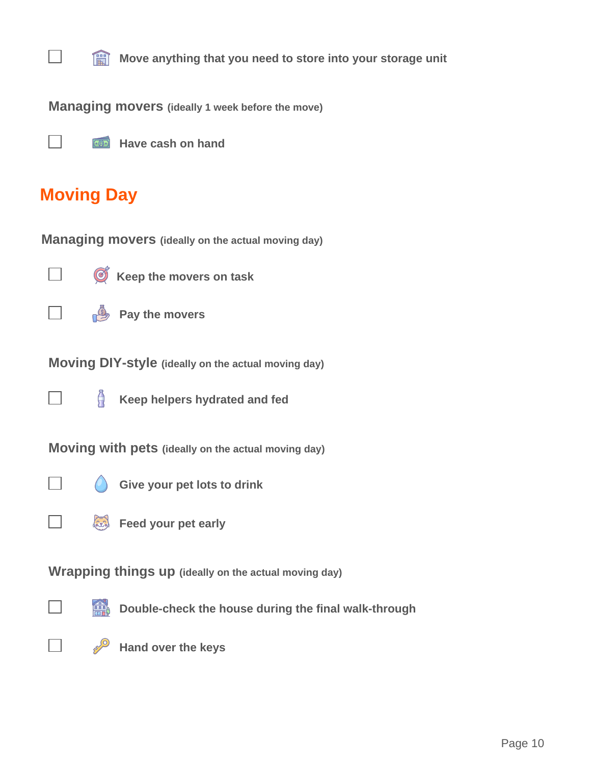

**Move anything that you need to store into your storage unit** 

**Managing movers (ideally 1 week before the move)**



## **Moving Day**

**Managing movers (ideally on the actual moving day)**



 **Keep the movers on task**



**Pay the movers** 

**Moving DIY-style (ideally on the actual moving day)**



 $\sum_{i=1}^{n}$  **Keep helpers hydrated and fed**

**Moving with pets (ideally on the actual moving day)**



 $\mathcal{L}$ 

 **Give your pet lots to drink**



**Wrapping things up (ideally on the actual moving day)**



**But Double-check the house during the final walk-through** 



**Hand over the keys**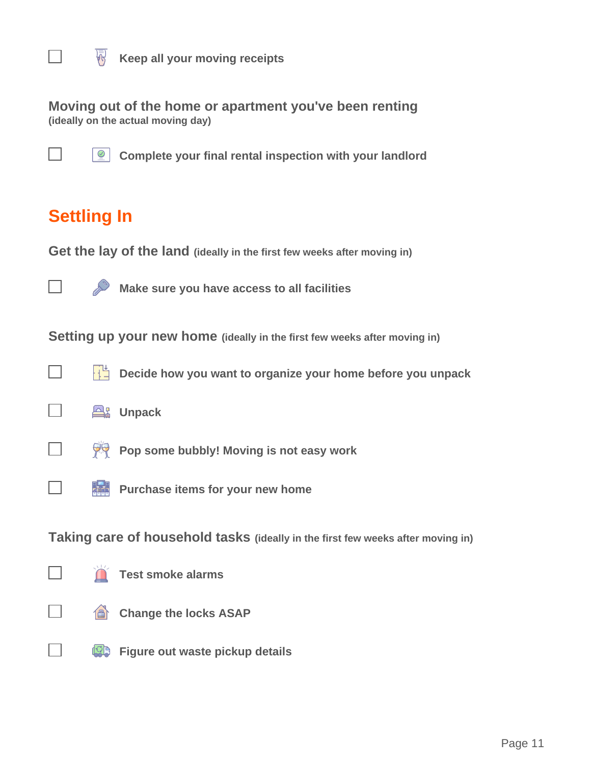

**Keep all your moving receipts** 

**Moving out of the home or apartment you've been renting (ideally on the actual moving day)**



**2** Complete your final rental inspection with your landlord

## **Settling In**

**Get the lay of the land (ideally in the first few weeks after moving in)**



 **Make sure you have access to all facilities**

**Setting up your new home (ideally in the first few weeks after moving in)**





**POP some bubbly! Moving is not easy work** 



 $\overline{\phantom{a}}$ 

**Purchase items for your new home** 

**Taking care of household tasks (ideally in the first few weeks after moving in)**



 **Test smoke alarms**



 $\Box$ 

*Change the locks ASAP* 

**<b>S** Figure out waste pickup details